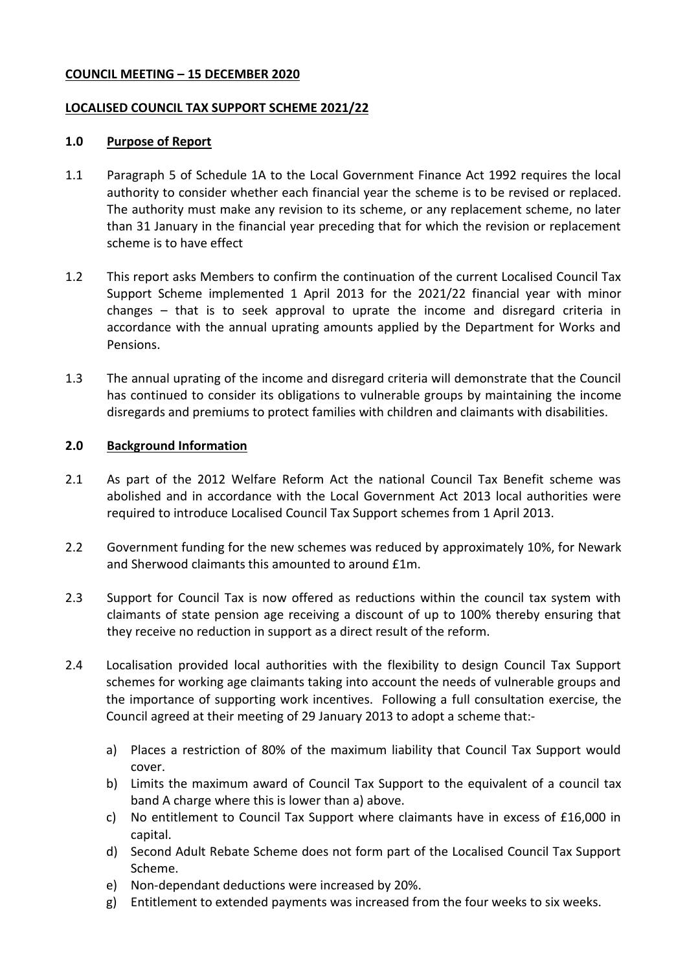### **COUNCIL MEETING – 15 DECEMBER 2020**

### **LOCALISED COUNCIL TAX SUPPORT SCHEME 2021/22**

### **1.0 Purpose of Report**

- 1.1 Paragraph 5 of Schedule 1A to the Local Government Finance Act 1992 requires the local authority to consider whether each financial year the scheme is to be revised or replaced. The authority must make any revision to its scheme, or any replacement scheme, no later than 31 January in the financial year preceding that for which the revision or replacement scheme is to have effect
- 1.2 This report asks Members to confirm the continuation of the current Localised Council Tax Support Scheme implemented 1 April 2013 for the 2021/22 financial year with minor changes – that is to seek approval to uprate the income and disregard criteria in accordance with the annual uprating amounts applied by the Department for Works and Pensions.
- 1.3 The annual uprating of the income and disregard criteria will demonstrate that the Council has continued to consider its obligations to vulnerable groups by maintaining the income disregards and premiums to protect families with children and claimants with disabilities.

### **2.0 Background Information**

- 2.1 As part of the 2012 Welfare Reform Act the national Council Tax Benefit scheme was abolished and in accordance with the Local Government Act 2013 local authorities were required to introduce Localised Council Tax Support schemes from 1 April 2013.
- 2.2 Government funding for the new schemes was reduced by approximately 10%, for Newark and Sherwood claimants this amounted to around £1m.
- 2.3 Support for Council Tax is now offered as reductions within the council tax system with claimants of state pension age receiving a discount of up to 100% thereby ensuring that they receive no reduction in support as a direct result of the reform.
- 2.4 Localisation provided local authorities with the flexibility to design Council Tax Support schemes for working age claimants taking into account the needs of vulnerable groups and the importance of supporting work incentives. Following a full consultation exercise, the Council agreed at their meeting of 29 January 2013 to adopt a scheme that:
	- a) Places a restriction of 80% of the maximum liability that Council Tax Support would cover.
	- b) Limits the maximum award of Council Tax Support to the equivalent of a council tax band A charge where this is lower than a) above.
	- c) No entitlement to Council Tax Support where claimants have in excess of £16,000 in capital.
	- d) Second Adult Rebate Scheme does not form part of the Localised Council Tax Support Scheme.
	- e) Non-dependant deductions were increased by 20%.
	- g) Entitlement to extended payments was increased from the four weeks to six weeks.